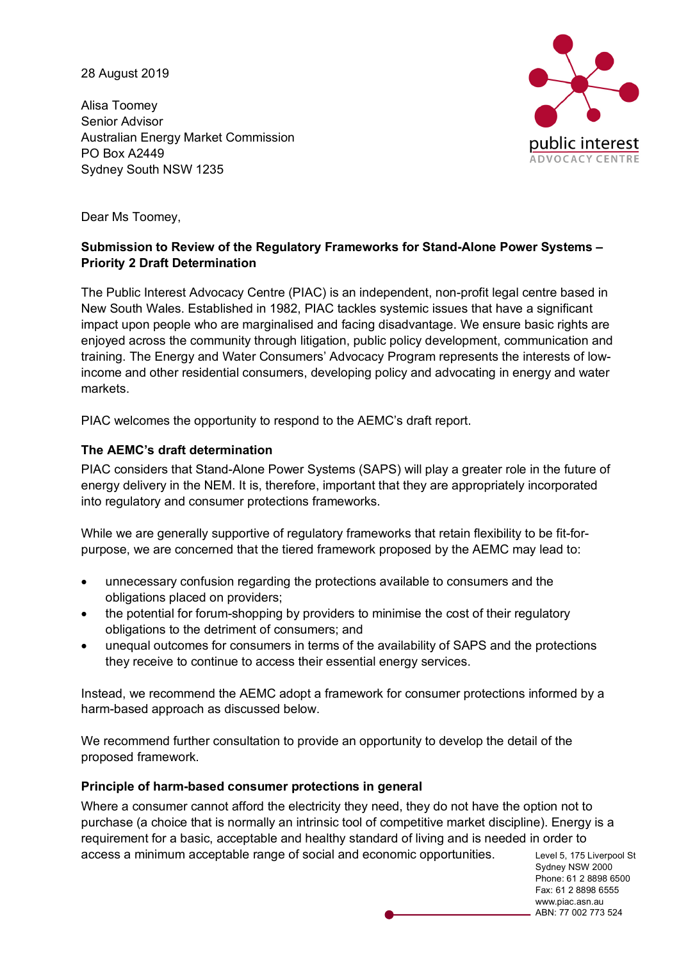28 August 2019

Alisa Toomey Senior Advisor Australian Energy Market Commission PO Box A2449 Sydney South NSW 1235



Dear Ms Toomey,

### **Submission to Review of the Regulatory Frameworks for Stand-Alone Power Systems – Priority 2 Draft Determination**

The Public Interest Advocacy Centre (PIAC) is an independent, non-profit legal centre based in New South Wales. Established in 1982, PIAC tackles systemic issues that have a significant impact upon people who are marginalised and facing disadvantage. We ensure basic rights are enjoyed across the community through litigation, public policy development, communication and training. The Energy and Water Consumers' Advocacy Program represents the interests of lowincome and other residential consumers, developing policy and advocating in energy and water markets.

PIAC welcomes the opportunity to respond to the AEMC's draft report.

### **The AEMC's draft determination**

PIAC considers that Stand-Alone Power Systems (SAPS) will play a greater role in the future of energy delivery in the NEM. It is, therefore, important that they are appropriately incorporated into regulatory and consumer protections frameworks.

While we are generally supportive of regulatory frameworks that retain flexibility to be fit-forpurpose, we are concerned that the tiered framework proposed by the AEMC may lead to:

- unnecessary confusion regarding the protections available to consumers and the obligations placed on providers;
- the potential for forum-shopping by providers to minimise the cost of their regulatory obligations to the detriment of consumers; and
- unequal outcomes for consumers in terms of the availability of SAPS and the protections they receive to continue to access their essential energy services.

Instead, we recommend the AEMC adopt a framework for consumer protections informed by a harm-based approach as discussed below.

We recommend further consultation to provide an opportunity to develop the detail of the proposed framework.

### **Principle of harm-based consumer protections in general**

Where a consumer cannot afford the electricity they need, they do not have the option not to purchase (a choice that is normally an intrinsic tool of competitive market discipline). Energy is a requirement for a basic, acceptable and healthy standard of living and is needed in order to access a minimum acceptable range of social and economic opportunities.

Level 5, 175 Liverpool St Sydney NSW 2000 Phone: 61 2 8898 6500 Fax: 61 2 8898 6555 www.piac.asn.au ABN: 77 002 773 524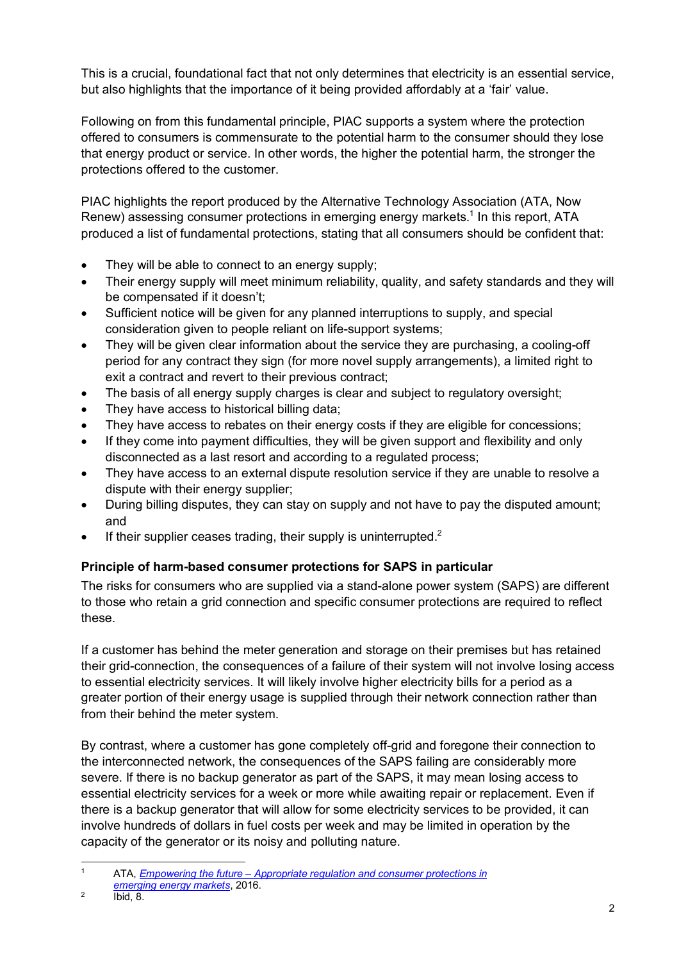This is a crucial, foundational fact that not only determines that electricity is an essential service, but also highlights that the importance of it being provided affordably at a 'fair' value.

Following on from this fundamental principle, PIAC supports a system where the protection offered to consumers is commensurate to the potential harm to the consumer should they lose that energy product or service. In other words, the higher the potential harm, the stronger the protections offered to the customer.

PIAC highlights the report produced by the Alternative Technology Association (ATA, Now Renew) assessing consumer protections in emerging energy markets.<sup>1</sup> In this report, ATA produced a list of fundamental protections, stating that all consumers should be confident that:

- They will be able to connect to an energy supply;
- Their energy supply will meet minimum reliability, quality, and safety standards and they will be compensated if it doesn't;
- Sufficient notice will be given for any planned interruptions to supply, and special consideration given to people reliant on life-support systems;
- They will be given clear information about the service they are purchasing, a cooling-off period for any contract they sign (for more novel supply arrangements), a limited right to exit a contract and revert to their previous contract;
- The basis of all energy supply charges is clear and subject to regulatory oversight;
- They have access to historical billing data;
- They have access to rebates on their energy costs if they are eligible for concessions;
- If they come into payment difficulties, they will be given support and flexibility and only disconnected as a last resort and according to a regulated process;
- They have access to an external dispute resolution service if they are unable to resolve a dispute with their energy supplier;
- During billing disputes, they can stay on supply and not have to pay the disputed amount; and
- If their supplier ceases trading, their supply is uninterrupted. $2$

# **Principle of harm-based consumer protections for SAPS in particular**

The risks for consumers who are supplied via a stand-alone power system (SAPS) are different to those who retain a grid connection and specific consumer protections are required to reflect these.

If a customer has behind the meter generation and storage on their premises but has retained their grid-connection, the consequences of a failure of their system will not involve losing access to essential electricity services. It will likely involve higher electricity bills for a period as a greater portion of their energy usage is supplied through their network connection rather than from their behind the meter system.

By contrast, where a customer has gone completely off-grid and foregone their connection to the interconnected network, the consequences of the SAPS failing are considerably more severe. If there is no backup generator as part of the SAPS, it may mean losing access to essential electricity services for a week or more while awaiting repair or replacement. Even if there is a backup generator that will allow for some electricity services to be provided, it can involve hundreds of dollars in fuel costs per week and may be limited in operation by the capacity of the generator or its noisy and polluting nature.

 <sup>1</sup> ATA, *Empowering the future – Appropriate regulation and consumer protections in emerging energy markets*, 2016.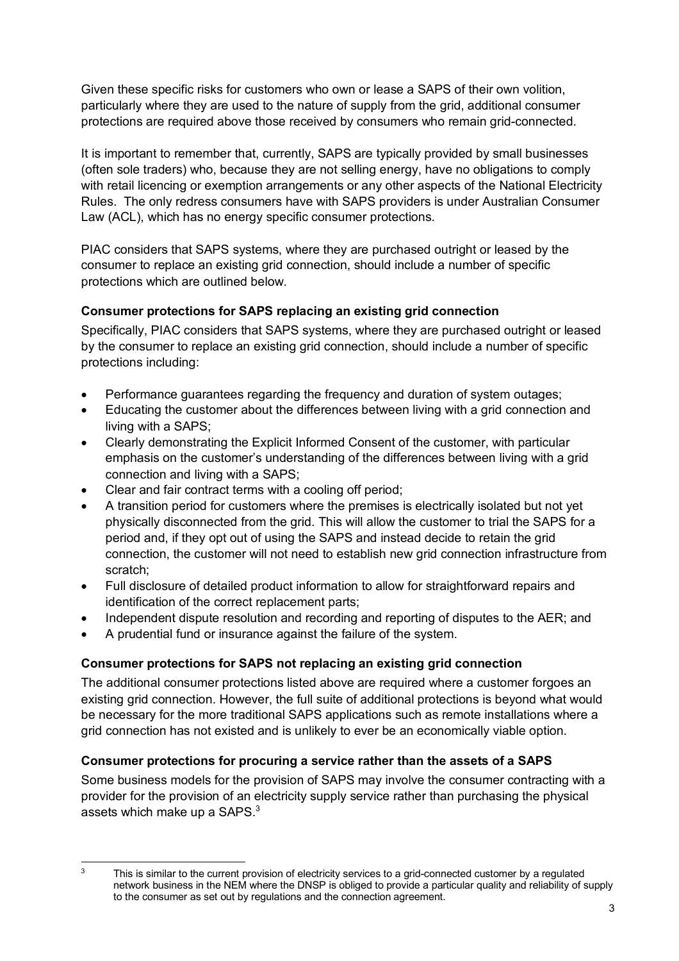Given these specific risks for customers who own or lease a SAPS of their own volition, particularly where they are used to the nature of supply from the grid, additional consumer protections are required above those received by consumers who remain grid-connected.

It is important to remember that, currently, SAPS are typically provided by small businesses (often sole traders) who, because they are not selling energy, have no obligations to comply with retail licencing or exemption arrangements or any other aspects of the National Electricity Rules. The only redress consumers have with SAPS providers is under Australian Consumer Law (ACL), which has no energy specific consumer protections.

PIAC considers that SAPS systems, where they are purchased outright or leased by the consumer to replace an existing grid connection, should include a number of specific protections which are outlined below.

## **Consumer protections for SAPS replacing an existing grid connection**

Specifically, PIAC considers that SAPS systems, where they are purchased outright or leased by the consumer to replace an existing grid connection, should include a number of specific protections including:

- Performance guarantees regarding the frequency and duration of system outages;
- Educating the customer about the differences between living with a grid connection and living with a SAPS;
- Clearly demonstrating the Explicit Informed Consent of the customer, with particular emphasis on the customer's understanding of the differences between living with a grid connection and living with a SAPS;
- Clear and fair contract terms with a cooling off period;
- A transition period for customers where the premises is electrically isolated but not yet physically disconnected from the grid. This will allow the customer to trial the SAPS for a period and, if they opt out of using the SAPS and instead decide to retain the grid connection, the customer will not need to establish new grid connection infrastructure from scratch;
- Full disclosure of detailed product information to allow for straightforward repairs and identification of the correct replacement parts;
- Independent dispute resolution and recording and reporting of disputes to the AER; and
- A prudential fund or insurance against the failure of the system.

### **Consumer protections for SAPS not replacing an existing grid connection**

The additional consumer protections listed above are required where a customer forgoes an existing grid connection. However, the full suite of additional protections is beyond what would be necessary for the more traditional SAPS applications such as remote installations where a grid connection has not existed and is unlikely to ever be an economically viable option.

### **Consumer protections for procuring a service rather than the assets of a SAPS**

Some business models for the provision of SAPS may involve the consumer contracting with a provider for the provision of an electricity supply service rather than purchasing the physical assets which make up a SAPS. $3$ 

<sup>&</sup>lt;sup>3</sup> This is similar to the current provision of electricity services to a grid-connected customer by a regulated network business in the NEM where the DNSP is obliged to provide a particular quality and reliability of supply to the consumer as set out by regulations and the connection agreement.